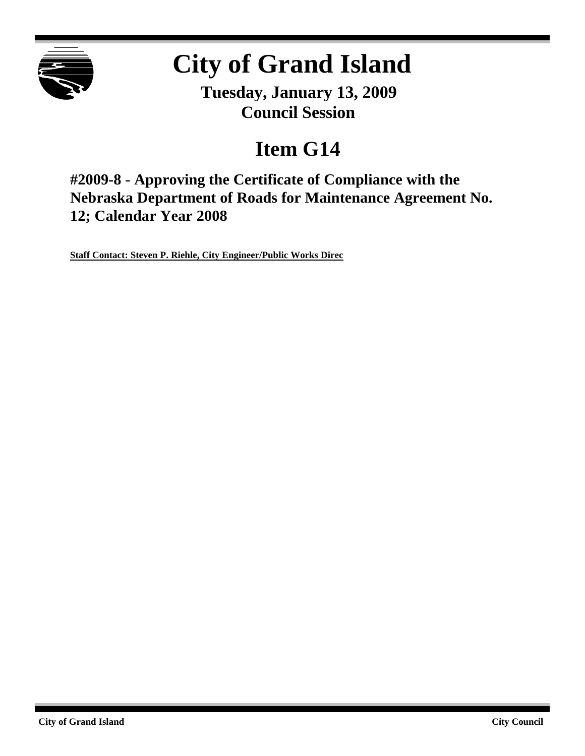

# **City of Grand Island**

**Tuesday, January 13, 2009 Council Session**

## **Item G14**

**#2009-8 - Approving the Certificate of Compliance with the Nebraska Department of Roads for Maintenance Agreement No. 12; Calendar Year 2008**

**Staff Contact: Steven P. Riehle, City Engineer/Public Works Direc**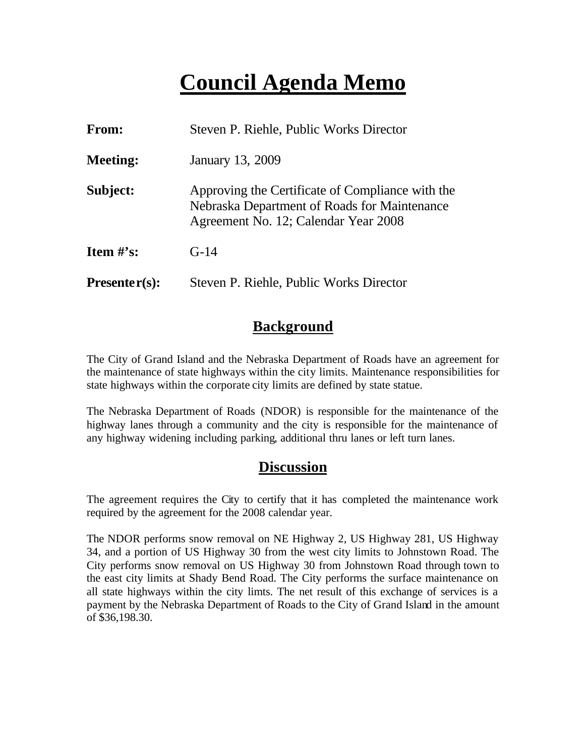### **Council Agenda Memo**

| From:           | Steven P. Riehle, Public Works Director                                                                                                  |
|-----------------|------------------------------------------------------------------------------------------------------------------------------------------|
| <b>Meeting:</b> | January 13, 2009                                                                                                                         |
| Subject:        | Approving the Certificate of Compliance with the<br>Nebraska Department of Roads for Maintenance<br>Agreement No. 12; Calendar Year 2008 |
| Item $\#$ 's:   | $G-14$                                                                                                                                   |
| $Presenter(s):$ | Steven P. Riehle, Public Works Director                                                                                                  |

#### **Background**

The City of Grand Island and the Nebraska Department of Roads have an agreement for the maintenance of state highways within the city limits. Maintenance responsibilities for state highways within the corporate city limits are defined by state statue.

The Nebraska Department of Roads (NDOR) is responsible for the maintenance of the highway lanes through a community and the city is responsible for the maintenance of any highway widening including parking, additional thru lanes or left turn lanes.

#### **Discussion**

The agreement requires the City to certify that it has completed the maintenance work required by the agreement for the 2008 calendar year.

The NDOR performs snow removal on NE Highway 2, US Highway 281, US Highway 34, and a portion of US Highway 30 from the west city limits to Johnstown Road. The City performs snow removal on US Highway 30 from Johnstown Road through town to the east city limits at Shady Bend Road. The City performs the surface maintenance on all state highways within the city limts. The net result of this exchange of services is a payment by the Nebraska Department of Roads to the City of Grand Island in the amount of \$36,198.30.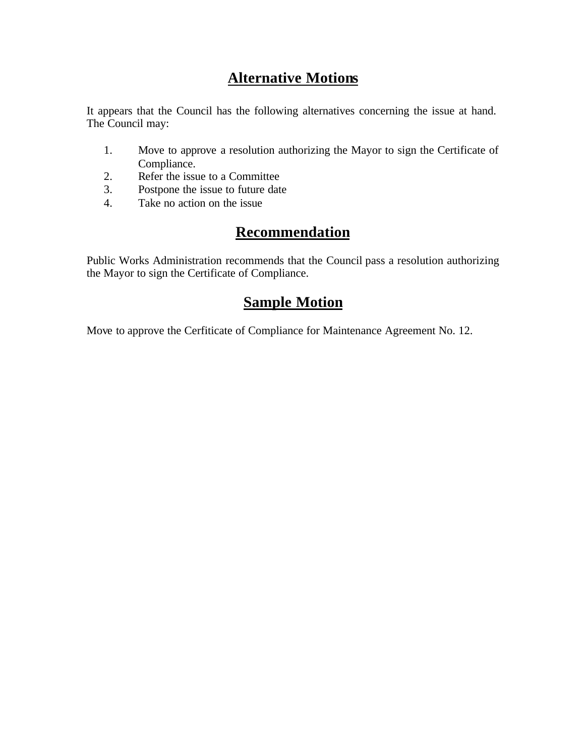### **Alternative Motions**

It appears that the Council has the following alternatives concerning the issue at hand. The Council may:

- 1. Move to approve a resolution authorizing the Mayor to sign the Certificate of Compliance.
- 2. Refer the issue to a Committee
- 3. Postpone the issue to future date
- 4. Take no action on the issue

#### **Recommendation**

Public Works Administration recommends that the Council pass a resolution authorizing the Mayor to sign the Certificate of Compliance.

#### **Sample Motion**

Move to approve the Cerfiticate of Compliance for Maintenance Agreement No. 12.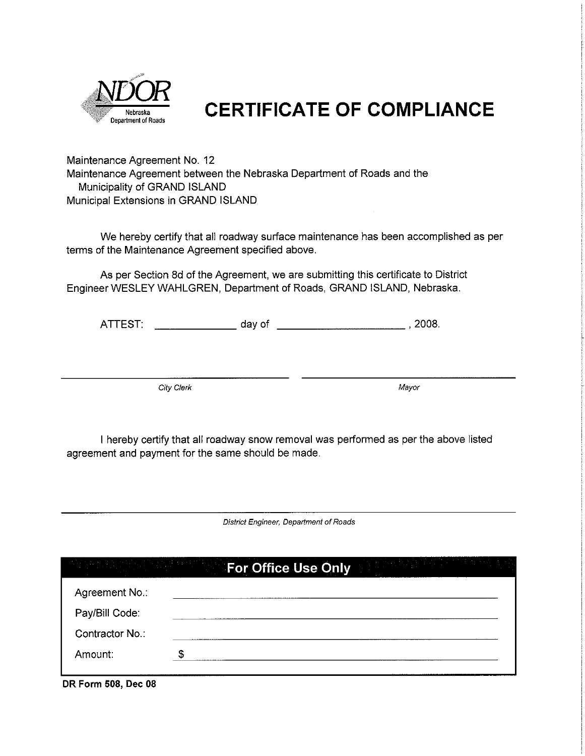

### **CERTIFICATE OF COMPLIANCE**

Maintenance Agreement No. 12 Maintenance Agreement between the Nebraska Department of Roads and the Municipality of GRAND ISLAND Municipal Extensions in GRAND ISLAND

We hereby certify that all roadway surface maintenance has been accomplished as per terms of the Maintenance Agreement specified above.

As per Section 8d of the Agreement, we are submitting this certificate to District Engineer WESLEY WAHLGREN, Department of Roads, GRAND ISLAND, Nebraska.

City Clerk

Mayor

I hereby certify that all roadway snow removal was performed as per the above listed agreement and payment for the same should be made.

District Engineer, Department of Roads

|                     | <b>Example 2 For Office Use Only and Service State</b> | $\mathcal{L}^{\mathcal{L}}(\mathcal{F})$ is the density of $\mathcal{L}^{\mathcal{L}}(\mathcal{F})$ |
|---------------------|--------------------------------------------------------|-----------------------------------------------------------------------------------------------------|
| Agreement No.:      |                                                        |                                                                                                     |
| Pay/Bill Code:      |                                                        |                                                                                                     |
| Contractor No.:     |                                                        |                                                                                                     |
| Amount.             |                                                        |                                                                                                     |
| DR Form 508, Dec 08 |                                                        |                                                                                                     |